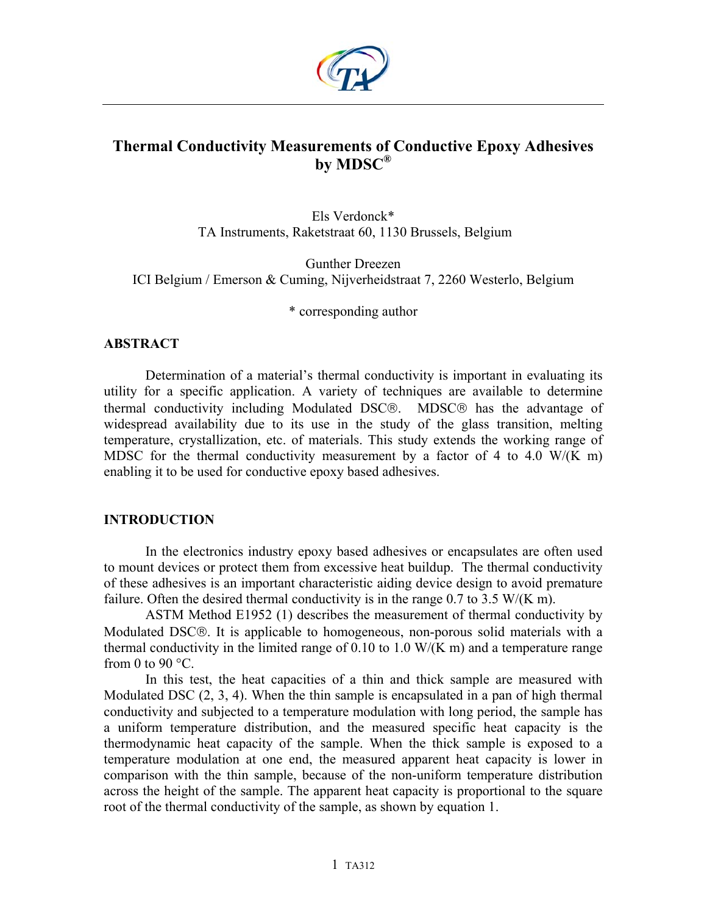

# **Thermal Conductivity Measurements of Conductive Epoxy Adhesives by MDSC®**

Els Verdonck\* TA Instruments, Raketstraat 60, 1130 Brussels, Belgium

Gunther Dreezen ICI Belgium / Emerson & Cuming, Nijverheidstraat 7, 2260 Westerlo, Belgium

\* corresponding author

## **ABSTRACT**

Determination of a material's thermal conductivity is important in evaluating its utility for a specific application. A variety of techniques are available to determine thermal conductivity including Modulated DSC®. MDSC® has the advantage of widespread availability due to its use in the study of the glass transition, melting temperature, crystallization, etc. of materials. This study extends the working range of MDSC for the thermal conductivity measurement by a factor of 4 to 4.0 W/(K m) enabling it to be used for conductive epoxy based adhesives.

# **INTRODUCTION**

In the electronics industry epoxy based adhesives or encapsulates are often used to mount devices or protect them from excessive heat buildup. The thermal conductivity of these adhesives is an important characteristic aiding device design to avoid premature failure. Often the desired thermal conductivity is in the range 0.7 to 3.5 W/(K m).

ASTM Method E1952 (1) describes the measurement of thermal conductivity by Modulated DSC®. It is applicable to homogeneous, non-porous solid materials with a thermal conductivity in the limited range of  $0.10$  to  $1.0$  W/(K m) and a temperature range from 0 to 90 $\degree$ C.

In this test, the heat capacities of a thin and thick sample are measured with Modulated DSC (2, 3, 4). When the thin sample is encapsulated in a pan of high thermal conductivity and subjected to a temperature modulation with long period, the sample has a uniform temperature distribution, and the measured specific heat capacity is the thermodynamic heat capacity of the sample. When the thick sample is exposed to a temperature modulation at one end, the measured apparent heat capacity is lower in comparison with the thin sample, because of the non-uniform temperature distribution across the height of the sample. The apparent heat capacity is proportional to the square root of the thermal conductivity of the sample, as shown by equation 1.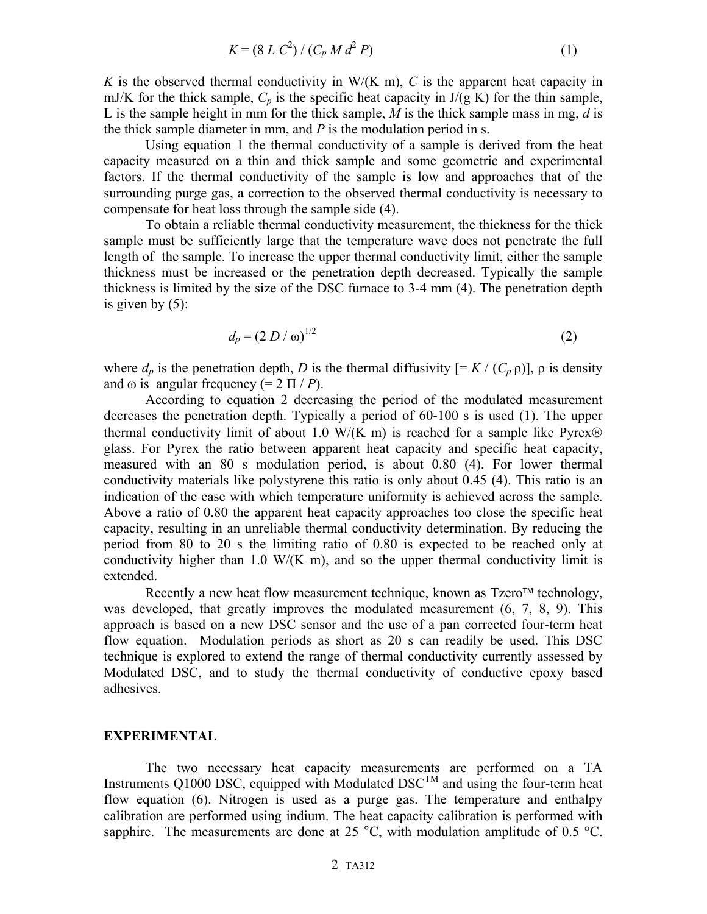$$
K = (8 L C2) / (C_p M d2 P)
$$
 (1)

*K* is the observed thermal conductivity in  $W/(K \, m)$ , *C* is the apparent heat capacity in mJ/K for the thick sample,  $C_p$  is the specific heat capacity in  $J/(g K)$  for the thin sample, L is the sample height in mm for the thick sample, *M* is the thick sample mass in mg, *d* is the thick sample diameter in mm, and *P* is the modulation period in s.

Using equation 1 the thermal conductivity of a sample is derived from the heat capacity measured on a thin and thick sample and some geometric and experimental factors. If the thermal conductivity of the sample is low and approaches that of the surrounding purge gas, a correction to the observed thermal conductivity is necessary to compensate for heat loss through the sample side (4).

To obtain a reliable thermal conductivity measurement, the thickness for the thick sample must be sufficiently large that the temperature wave does not penetrate the full length of the sample. To increase the upper thermal conductivity limit, either the sample thickness must be increased or the penetration depth decreased. Typically the sample thickness is limited by the size of the DSC furnace to 3-4 mm (4). The penetration depth is given by  $(5)$ :

$$
d_p = (2 D / \omega)^{1/2} \tag{2}
$$

where  $d_p$  is the penetration depth, *D* is the thermal diffusivity  $[= K / (C_p \rho)]$ ,  $\rho$  is density and  $\omega$  is angular frequency (=  $2 \Pi / P$ ).

According to equation 2 decreasing the period of the modulated measurement decreases the penetration depth. Typically a period of 60-100 s is used (1). The upper thermal conductivity limit of about 1.0 W/(K m) is reached for a sample like Pyrex® glass. For Pyrex the ratio between apparent heat capacity and specific heat capacity, measured with an 80 s modulation period, is about 0.80 (4). For lower thermal conductivity materials like polystyrene this ratio is only about 0.45 (4). This ratio is an indication of the ease with which temperature uniformity is achieved across the sample. Above a ratio of 0.80 the apparent heat capacity approaches too close the specific heat capacity, resulting in an unreliable thermal conductivity determination. By reducing the period from 80 to 20 s the limiting ratio of 0.80 is expected to be reached only at conductivity higher than 1.0  $W/(K \, m)$ , and so the upper thermal conductivity limit is extended.

Recently a new heat flow measurement technique, known as  $T_{\text{zero}}$ <sup> $M$ </sup> technology, was developed, that greatly improves the modulated measurement  $(6, 7, 8, 9)$ . This approach is based on a new DSC sensor and the use of a pan corrected four-term heat flow equation. Modulation periods as short as 20 s can readily be used. This DSC technique is explored to extend the range of thermal conductivity currently assessed by Modulated DSC, and to study the thermal conductivity of conductive epoxy based adhesives.

#### **EXPERIMENTAL**

The two necessary heat capacity measurements are performed on a TA Instruments Q1000 DSC, equipped with Modulated  $DSC^{TM}$  and using the four-term heat flow equation (6). Nitrogen is used as a purge gas. The temperature and enthalpy calibration are performed using indium. The heat capacity calibration is performed with sapphire. The measurements are done at 25  $^{\circ}$ C, with modulation amplitude of 0.5  $^{\circ}$ C.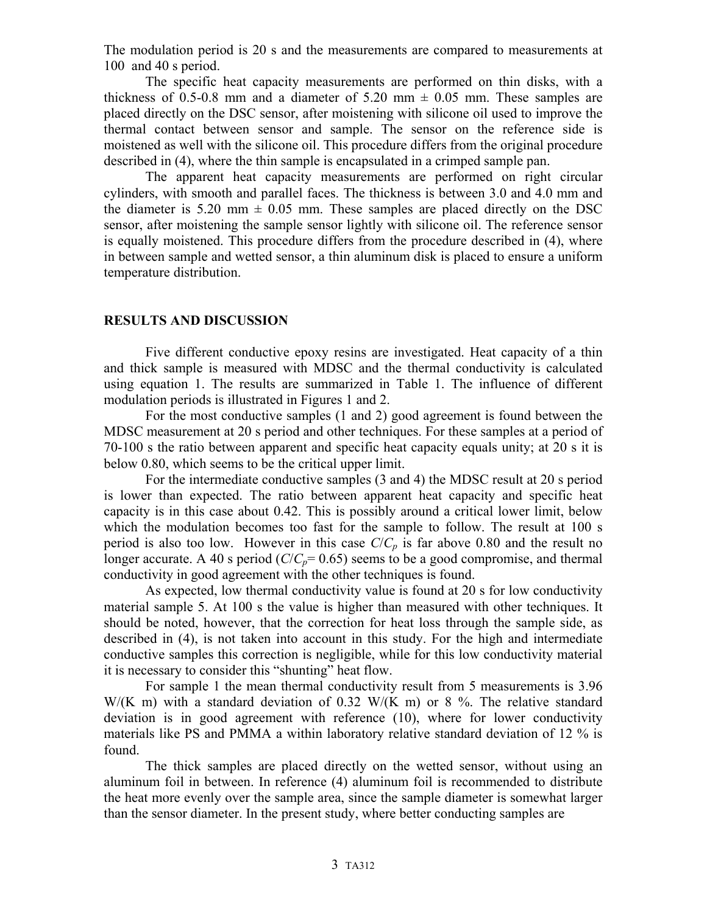The modulation period is 20 s and the measurements are compared to measurements at 100 and 40 s period.

The specific heat capacity measurements are performed on thin disks, with a thickness of 0.5-0.8 mm and a diameter of 5.20 mm  $\pm$  0.05 mm. These samples are placed directly on the DSC sensor, after moistening with silicone oil used to improve the thermal contact between sensor and sample. The sensor on the reference side is moistened as well with the silicone oil. This procedure differs from the original procedure described in (4), where the thin sample is encapsulated in a crimped sample pan.

The apparent heat capacity measurements are performed on right circular cylinders, with smooth and parallel faces. The thickness is between 3.0 and 4.0 mm and the diameter is 5.20 mm  $\pm$  0.05 mm. These samples are placed directly on the DSC sensor, after moistening the sample sensor lightly with silicone oil. The reference sensor is equally moistened. This procedure differs from the procedure described in (4), where in between sample and wetted sensor, a thin aluminum disk is placed to ensure a uniform temperature distribution.

### **RESULTS AND DISCUSSION**

Five different conductive epoxy resins are investigated. Heat capacity of a thin and thick sample is measured with MDSC and the thermal conductivity is calculated using equation 1. The results are summarized in Table 1. The influence of different modulation periods is illustrated in Figures 1 and 2.

For the most conductive samples (1 and 2) good agreement is found between the MDSC measurement at 20 s period and other techniques. For these samples at a period of 70-100 s the ratio between apparent and specific heat capacity equals unity; at 20 s it is below 0.80, which seems to be the critical upper limit.

For the intermediate conductive samples (3 and 4) the MDSC result at 20 s period is lower than expected. The ratio between apparent heat capacity and specific heat capacity is in this case about 0.42. This is possibly around a critical lower limit, below which the modulation becomes too fast for the sample to follow. The result at 100 s period is also too low. However in this case  $C/C_p$  is far above 0.80 and the result no longer accurate. A 40 s period ( $C/C_p$ = 0.65) seems to be a good compromise, and thermal conductivity in good agreement with the other techniques is found.

As expected, low thermal conductivity value is found at 20 s for low conductivity material sample 5. At 100 s the value is higher than measured with other techniques. It should be noted, however, that the correction for heat loss through the sample side, as described in (4), is not taken into account in this study. For the high and intermediate conductive samples this correction is negligible, while for this low conductivity material it is necessary to consider this "shunting" heat flow.

For sample 1 the mean thermal conductivity result from 5 measurements is 3.96  $W/(K \text{ m})$  with a standard deviation of 0.32  $W/(K \text{ m})$  or 8 %. The relative standard deviation is in good agreement with reference (10), where for lower conductivity materials like PS and PMMA a within laboratory relative standard deviation of 12 % is found.

The thick samples are placed directly on the wetted sensor, without using an aluminum foil in between. In reference (4) aluminum foil is recommended to distribute the heat more evenly over the sample area, since the sample diameter is somewhat larger than the sensor diameter. In the present study, where better conducting samples are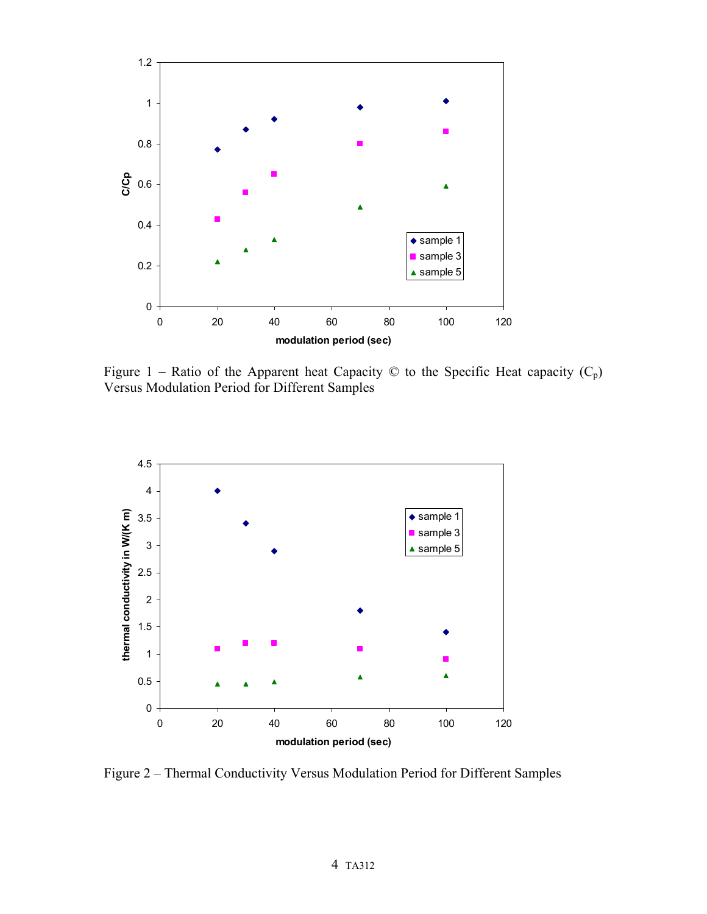

Figure 1 – Ratio of the Apparent heat Capacity  $\odot$  to the Specific Heat capacity  $(C_p)$ Versus Modulation Period for Different Samples



Figure 2 – Thermal Conductivity Versus Modulation Period for Different Samples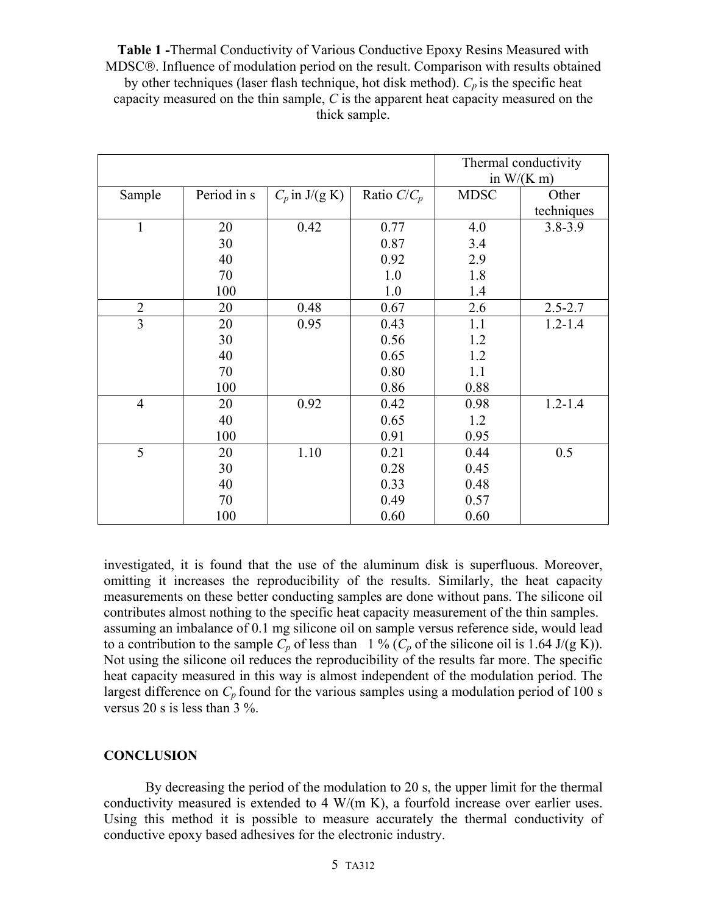**Table 1 -**Thermal Conductivity of Various Conductive Epoxy Resins Measured with MDSC. Influence of modulation period on the result. Comparison with results obtained by other techniques (laser flash technique, hot disk method).  $C_p$  is the specific heat capacity measured on the thin sample, *C* is the apparent heat capacity measured on the thick sample.

|                |             |                    |               | Thermal conductivity<br>in $W/(K m)$ |             |
|----------------|-------------|--------------------|---------------|--------------------------------------|-------------|
| Sample         | Period in s | $C_p$ in $J/(g K)$ | Ratio $C/C_p$ | <b>MDSC</b>                          | Other       |
|                |             |                    |               |                                      | techniques  |
| $\mathbf{1}$   | 20          | 0.42               | 0.77          | 4.0                                  | $3.8 - 3.9$ |
|                | 30          |                    | 0.87          | 3.4                                  |             |
|                | 40          |                    | 0.92          | 2.9                                  |             |
|                | 70          |                    | 1.0           | 1.8                                  |             |
|                | 100         |                    | 1.0           | 1.4                                  |             |
| $\overline{2}$ | 20          | 0.48               | 0.67          | 2.6                                  | $2.5 - 2.7$ |
| $\overline{3}$ | 20          | 0.95               | 0.43          | 1.1                                  | $1.2 - 1.4$ |
|                | 30          |                    | 0.56          | 1.2                                  |             |
|                | 40          |                    | 0.65          | 1.2                                  |             |
|                | 70          |                    | 0.80          | 1.1                                  |             |
|                | 100         |                    | 0.86          | 0.88                                 |             |
| $\overline{4}$ | 20          | 0.92               | 0.42          | 0.98                                 | $1.2 - 1.4$ |
|                | 40          |                    | 0.65          | 1.2                                  |             |
|                | 100         |                    | 0.91          | 0.95                                 |             |
| 5              | 20          | 1.10               | 0.21          | 0.44                                 | 0.5         |
|                | 30          |                    | 0.28          | 0.45                                 |             |
|                | 40          |                    | 0.33          | 0.48                                 |             |
|                | 70          |                    | 0.49          | 0.57                                 |             |
|                | 100         |                    | 0.60          | 0.60                                 |             |

investigated, it is found that the use of the aluminum disk is superfluous. Moreover, omitting it increases the reproducibility of the results. Similarly, the heat capacity measurements on these better conducting samples are done without pans. The silicone oil contributes almost nothing to the specific heat capacity measurement of the thin samples. assuming an imbalance of 0.1 mg silicone oil on sample versus reference side, would lead to a contribution to the sample  $C_p$  of less than 1 % ( $C_p$  of the silicone oil is 1.64 J/(g K)). Not using the silicone oil reduces the reproducibility of the results far more. The specific heat capacity measured in this way is almost independent of the modulation period. The largest difference on  $C_p$  found for the various samples using a modulation period of 100 s versus 20 s is less than 3 %.

#### **CONCLUSION**

By decreasing the period of the modulation to 20 s, the upper limit for the thermal conductivity measured is extended to 4 W/(m K), a fourfold increase over earlier uses. Using this method it is possible to measure accurately the thermal conductivity of conductive epoxy based adhesives for the electronic industry.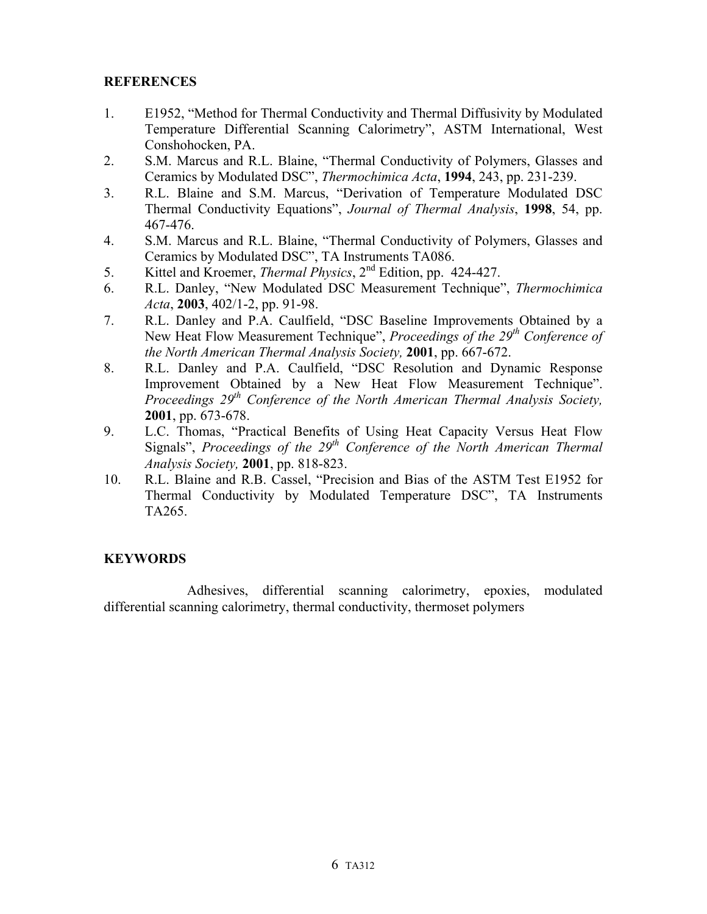# **REFERENCES**

- 1. E1952, "Method for Thermal Conductivity and Thermal Diffusivity by Modulated Temperature Differential Scanning Calorimetry", ASTM International, West Conshohocken, PA.
- 2. S.M. Marcus and R.L. Blaine, "Thermal Conductivity of Polymers, Glasses and Ceramics by Modulated DSC", *Thermochimica Acta*, **1994**, 243, pp. 231-239.
- 3. R.L. Blaine and S.M. Marcus, "Derivation of Temperature Modulated DSC Thermal Conductivity Equations", *Journal of Thermal Analysis*, **1998**, 54, pp. 467-476.
- 4. S.M. Marcus and R.L. Blaine, "Thermal Conductivity of Polymers, Glasses and Ceramics by Modulated DSC", TA Instruments TA086.
- 5. Kittel and Kroemer, *Thermal Physics*, 2nd Edition, pp. 424-427.
- 6. R.L. Danley, "New Modulated DSC Measurement Technique", *Thermochimica Acta*, **2003**, 402/1-2, pp. 91-98.
- 7. R.L. Danley and P.A. Caulfield, "DSC Baseline Improvements Obtained by a New Heat Flow Measurement Technique", *Proceedings of the 29th Conference of the North American Thermal Analysis Society,* **2001**, pp. 667-672.
- 8. R.L. Danley and P.A. Caulfield, "DSC Resolution and Dynamic Response Improvement Obtained by a New Heat Flow Measurement Technique". *Proceedings 29th Conference of the North American Thermal Analysis Society,* **2001**, pp. 673-678.
- 9. L.C. Thomas, "Practical Benefits of Using Heat Capacity Versus Heat Flow Signals", *Proceedings of the 29<sup>th</sup> Conference of the North American Thermal Analysis Society,* **2001**, pp. 818-823.
- 10. R.L. Blaine and R.B. Cassel, "Precision and Bias of the ASTM Test E1952 for Thermal Conductivity by Modulated Temperature DSC", TA Instruments TA265.

# **KEYWORDS**

Adhesives, differential scanning calorimetry, epoxies, modulated differential scanning calorimetry, thermal conductivity, thermoset polymers